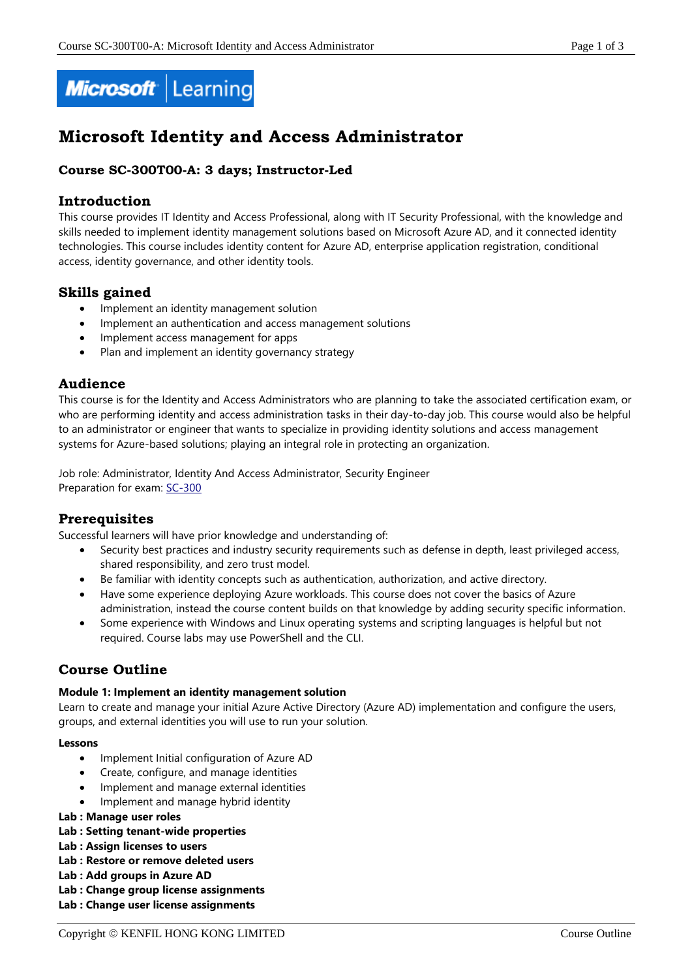

# **Microsoft Identity and Access Administrator**

# **Course SC-300T00-A: 3 days; Instructor-Led**

## **Introduction**

This course provides IT Identity and Access Professional, along with IT Security Professional, with the knowledge and skills needed to implement identity management solutions based on Microsoft Azure AD, and it connected identity technologies. This course includes identity content for Azure AD, enterprise application registration, conditional access, identity governance, and other identity tools.

# **Skills gained**

- Implement an identity management solution
- Implement an authentication and access management solutions
- Implement access management for apps
- Plan and implement an identity governancy strategy

# **Audience**

This course is for the Identity and Access Administrators who are planning to take the associated certification exam, or who are performing identity and access administration tasks in their day-to-day job. This course would also be helpful to an administrator or engineer that wants to specialize in providing identity solutions and access management systems for Azure-based solutions; playing an integral role in protecting an organization.

Job role: Administrator, Identity And Access Administrator, Security Engineer Preparation for exam: [SC-300](https://docs.microsoft.com/en-us/learn/certifications/exams/sc-300)

# **Prerequisites**

Successful learners will have prior knowledge and understanding of:

- Security best practices and industry security requirements such as defense in depth, least privileged access, shared responsibility, and zero trust model.
- Be familiar with identity concepts such as authentication, authorization, and active directory.
- Have some experience deploying Azure workloads. This course does not cover the basics of Azure administration, instead the course content builds on that knowledge by adding security specific information.
- Some experience with Windows and Linux operating systems and scripting languages is helpful but not required. Course labs may use PowerShell and the CLI.

# **Course Outline**

#### **Module 1: Implement an identity management solution**

Learn to create and manage your initial Azure Active Directory (Azure AD) implementation and configure the users, groups, and external identities you will use to run your solution.

#### **Lessons**

- Implement Initial configuration of Azure AD
- Create, configure, and manage identities
- Implement and manage external identities
- Implement and manage hybrid identity
- **Lab : Manage user roles**

#### **Lab : Setting tenant-wide properties**

- **Lab : Assign licenses to users**
- **Lab : Restore or remove deleted users**
- **Lab : Add groups in Azure AD**
- **Lab : Change group license assignments**
- **Lab : Change user license assignments**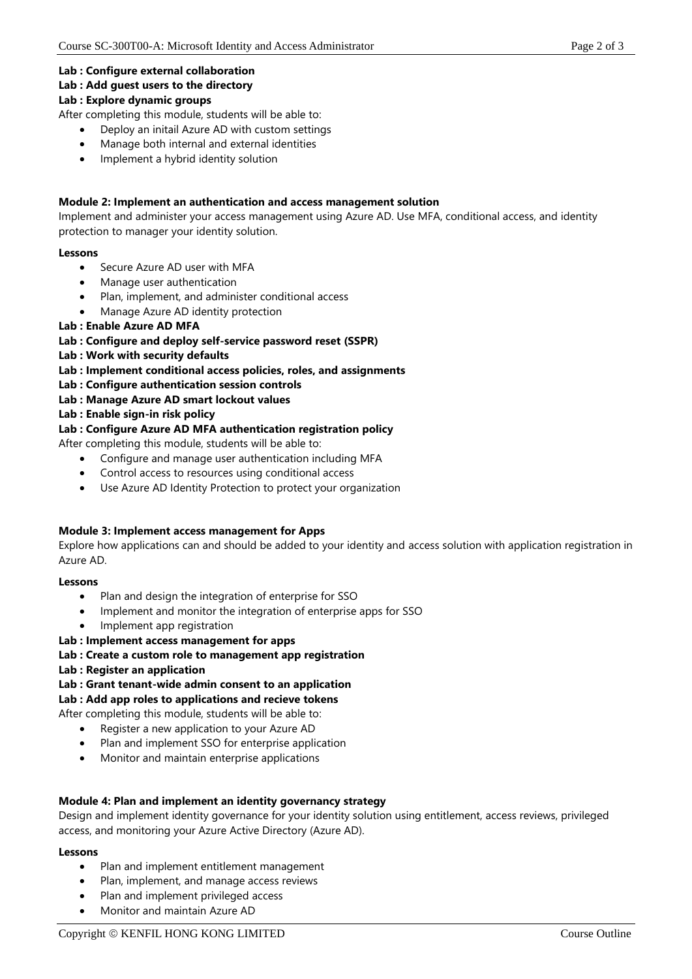#### **Lab : Configure external collaboration**

#### **Lab : Add guest users to the directory**

#### **Lab : Explore dynamic groups**

After completing this module, students will be able to:

- Deploy an initail Azure AD with custom settings
- Manage both internal and external identities
- Implement a hybrid identity solution

#### **Module 2: Implement an authentication and access management solution**

Implement and administer your access management using Azure AD. Use MFA, conditional access, and identity protection to manager your identity solution.

#### **Lessons**

- Secure Azure AD user with MFA
- Manage user authentication
- Plan, implement, and administer conditional access
- Manage Azure AD identity protection

#### **Lab : Enable Azure AD MFA**

#### **Lab : Configure and deploy self-service password reset (SSPR)**

- **Lab : Work with security defaults**
- **Lab : Implement conditional access policies, roles, and assignments**
- **Lab : Configure authentication session controls**
- **Lab : Manage Azure AD smart lockout values**
- **Lab : Enable sign-in risk policy**

#### **Lab : Configure Azure AD MFA authentication registration policy**

After completing this module, students will be able to:

- Configure and manage user authentication including MFA
- Control access to resources using conditional access
- Use Azure AD Identity Protection to protect your organization

#### **Module 3: Implement access management for Apps**

Explore how applications can and should be added to your identity and access solution with application registration in Azure AD.

#### **Lessons**

- Plan and design the integration of enterprise for SSO
- Implement and monitor the integration of enterprise apps for SSO
- Implement app registration

#### **Lab : Implement access management for apps**

- **Lab : Create a custom role to management app registration**
- **Lab : Register an application**
- **Lab : Grant tenant-wide admin consent to an application**

#### **Lab : Add app roles to applications and recieve tokens**

- After completing this module, students will be able to:
	- Register a new application to your Azure AD
	- Plan and implement SSO for enterprise application
	- Monitor and maintain enterprise applications

#### **Module 4: Plan and implement an identity governancy strategy**

Design and implement identity governance for your identity solution using entitlement, access reviews, privileged access, and monitoring your Azure Active Directory (Azure AD).

#### **Lessons**

- Plan and implement entitlement management
- Plan, implement, and manage access reviews
- Plan and implement privileged access
- Monitor and maintain Azure AD